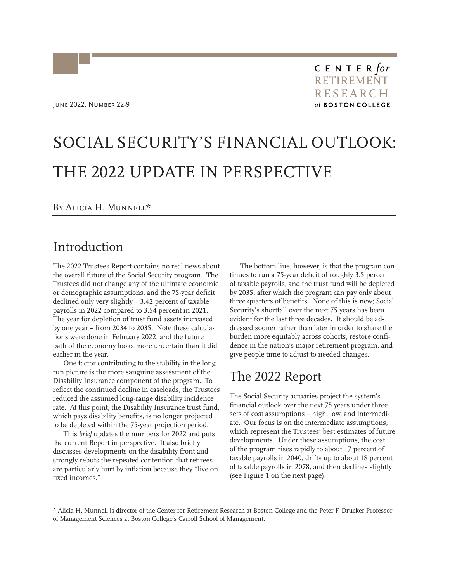June 2022, Number 22-9

# SOCIAL SECURITY'S FINANCIAL OUTLOOK: THE 2022 UPDATE IN PERSPECTIVE

#### By Alicia H. Munnell\*

### Introduction

The 2022 Trustees Report contains no real news about the overall future of the Social Security program. The Trustees did not change any of the ultimate economic or demographic assumptions, and the 75-year deficit declined only very slightly – 3.42 percent of taxable payrolls in 2022 compared to 3.54 percent in 2021. The year for depletion of trust fund assets increased by one year – from 2034 to 2035. Note these calculations were done in February 2022, and the future path of the economy looks more uncertain than it did earlier in the year.

One factor contributing to the stability in the longrun picture is the more sanguine assessment of the Disability Insurance component of the program. To reflect the continued decline in caseloads, the Trustees reduced the assumed long-range disability incidence rate. At this point, the Disability Insurance trust fund, which pays disability benefits, is no longer projected to be depleted within the 75-year projection period.

This *brief* updates the numbers for 2022 and puts the current Report in perspective. It also briefly discusses developments on the disability front and strongly rebuts the repeated contention that retirees are particularly hurt by inflation because they "live on fixed incomes."

The bottom line, however, is that the program continues to run a 75-year deficit of roughly 3.5 percent of taxable payrolls, and the trust fund will be depleted by 2035, after which the program can pay only about three quarters of benefits. None of this is new; Social Security's shortfall over the next 75 years has been evident for the last three decades. It should be addressed sooner rather than later in order to share the burden more equitably across cohorts, restore confidence in the nation's major retirement program, and give people time to adjust to needed changes.

### The 2022 Report

The Social Security actuaries project the system's financial outlook over the next 75 years under three sets of cost assumptions – high, low, and intermediate. Our focus is on the intermediate assumptions, which represent the Trustees' best estimates of future developments. Under these assumptions, the cost of the program rises rapidly to about 17 percent of taxable payrolls in 2040, drifts up to about 18 percent of taxable payrolls in 2078, and then declines slightly (see Figure 1 on the next page).

\* Alicia H. Munnell is director of the Center for Retirement Research at Boston College and the Peter F. Drucker Professor of Management Sciences at Boston College's Carroll School of Management.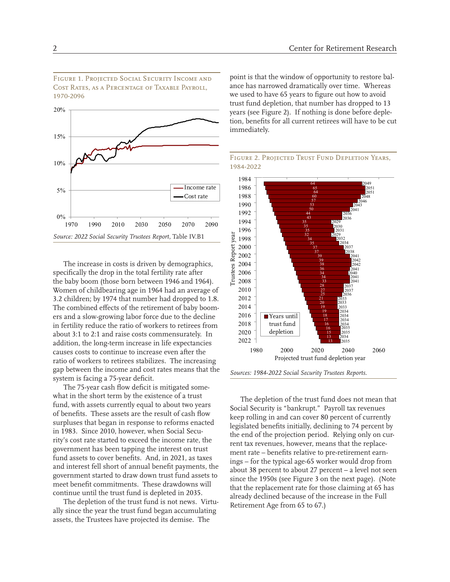Figure 1. Projected Social Security Income and Cost Rates, as a Percentage of Taxable Payroll, 1970-2096



The increase in costs is driven by demographics, specifically the drop in the total fertility rate after the baby boom (those born between 1946 and 1964). Women of childbearing age in 1964 had an average of 3.2 children; by 1974 that number had dropped to 1.8. The combined effects of the retirement of baby boomers and a slow-growing labor force due to the decline in fertility reduce the ratio of workers to retirees from about 3:1 to 2:1 and raise costs commensurately. In addition, the long-term increase in life expectancies causes costs to continue to increase even after the ratio of workers to retirees stabilizes. The increasing gap between the income and cost rates means that the system is facing a 75-year deficit.

The 75-year cash flow deficit is mitigated somewhat in the short term by the existence of a trust fund, with assets currently equal to about two years of benefits. These assets are the result of cash flow surpluses that began in response to reforms enacted in 1983. Since 2010, however, when Social Security's cost rate started to exceed the income rate, the government has been tapping the interest on trust fund assets to cover benefits. And, in 2021, as taxes and interest fell short of annual benefit payments, the government started to draw down trust fund assets to meet benefit commitments. These drawdowns will continue until the trust fund is depleted in 2035.

The depletion of the trust fund is not news. Virtually since the year the trust fund began accumulating assets, the Trustees have projected its demise. The

point is that the window of opportunity to restore balance has narrowed dramatically over time. Whereas we used to have 65 years to figure out how to avoid trust fund depletion, that number has dropped to 13 years (see Figure 2). If nothing is done before depletion, benefits for all current retirees will have to be cut immediately.





*Sources: 1984-2022 Social Security Trustees Reports.*

The depletion of the trust fund does not mean that Social Security is "bankrupt." Payroll tax revenues keep rolling in and can cover 80 percent of currently legislated benefits initially, declining to 74 percent by the end of the projection period. Relying only on current tax revenues, however, means that the replacement rate – benefits relative to pre-retirement earnings – for the typical age-65 worker would drop from about 38 percent to about 27 percent – a level not seen since the 1950s (see Figure 3 on the next page). (Note that the replacement rate for those claiming at 65 has already declined because of the increase in the Full Retirement Age from 65 to 67.)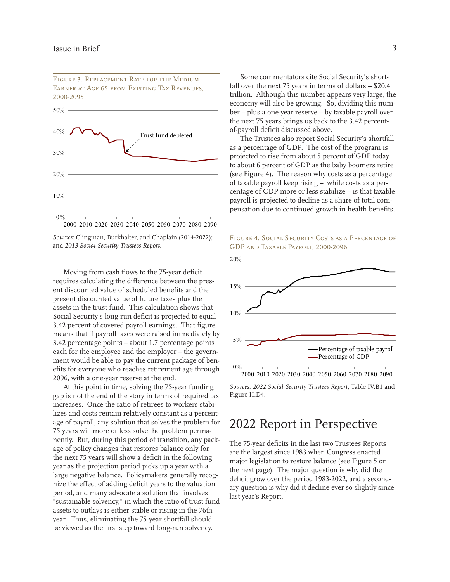0% 10% 20% 30% 40% 50% 2000 2010 2020 2030 2040 2050 2060 2070 2080 2090 Trust fund depleted

*Sources:* Clingman, Burkhalter, and Chaplain (2014-2022); and *2013 Social Security Trustees Report.*

Moving from cash flows to the 75-year deficit requires calculating the difference between the present discounted value of scheduled benefits and the present discounted value of future taxes plus the assets in the trust fund. This calculation shows that Social Security's long-run deficit is projected to equal 3.42 percent of covered payroll earnings. That figure means that if payroll taxes were raised immediately by 3.42 percentage points – about 1.7 percentage points each for the employee and the employer – the government would be able to pay the current package of benefits for everyone who reaches retirement age through 2096, with a one-year reserve at the end.

At this point in time, solving the 75-year funding gap is not the end of the story in terms of required tax increases. Once the ratio of retirees to workers stabilizes and costs remain relatively constant as a percentage of payroll, any solution that solves the problem for 75 years will more or less solve the problem permanently. But, during this period of transition, any package of policy changes that restores balance only for the next 75 years will show a deficit in the following year as the projection period picks up a year with a large negative balance. Policymakers generally recognize the effect of adding deficit years to the valuation period, and many advocate a solution that involves "sustainable solvency," in which the ratio of trust fund assets to outlays is either stable or rising in the 76th year. Thus, eliminating the 75-year shortfall should be viewed as the first step toward long-run solvency.

Some commentators cite Social Security's shortfall over the next 75 years in terms of dollars – \$20.4 trillion. Although this number appears very large, the economy will also be growing. So, dividing this number – plus a one-year reserve – by taxable payroll over the next 75 years brings us back to the 3.42 percentof-payroll deficit discussed above.

The Trustees also report Social Security's shortfall as a percentage of GDP. The cost of the program is projected to rise from about 5 percent of GDP today to about 6 percent of GDP as the baby boomers retire (see Figure 4). The reason why costs as a percentage of taxable payroll keep rising – while costs as a percentage of GDP more or less stabilize – is that taxable payroll is projected to decline as a share of total compensation due to continued growth in health benefits.





*Sources: 2022 Social Security Trustees Report,* Table IV.B1 and Figure II.D4.

### 2022 Report in Perspective

The 75-year deficits in the last two Trustees Reports are the largest since 1983 when Congress enacted major legislation to restore balance (see Figure 5 on the next page). The major question is why did the deficit grow over the period 1983-2022, and a secondary question is why did it decline ever so slightly since last year's Report.

FIGURE 3. REPLACEMENT RATE FOR THE MEDIUM Earner at Age 65 from Existing Tax Revenues, 2000-2095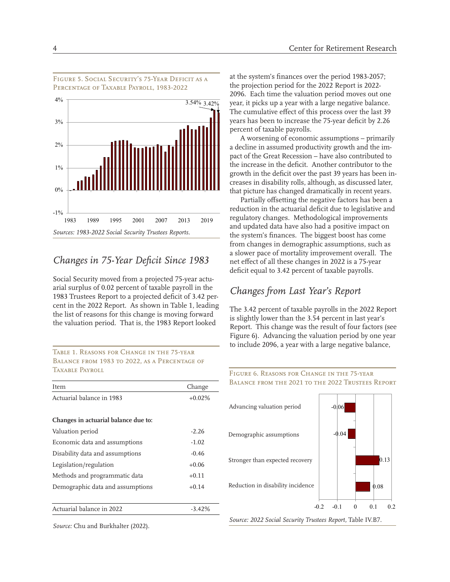

Figure 5. Social Security's 75-Year Deficit as a Percentage of Taxable Payroll, 1983-2022

#### *Changes in 75-Year Deficit Since 1983*

Social Security moved from a projected 75-year actuarial surplus of 0.02 percent of taxable payroll in the 1983 Trustees Report to a projected deficit of 3.42 percent in the 2022 Report. As shown in Table 1, leading the list of reasons for this change is moving forward the valuation period. That is, the 1983 Report looked

#### Table 1. Reasons for Change in the 75-year BALANCE FROM 1983 TO 2022, AS A PERCENTAGE OF TAXABLE PAYROLL

| Item                                 | Change   |
|--------------------------------------|----------|
| Actuarial balance in 1983            | $+0.02%$ |
|                                      |          |
| Changes in actuarial balance due to: |          |
| Valuation period                     | $-2.26$  |
| Economic data and assumptions        | $-1.02$  |
| Disability data and assumptions      | $-0.46$  |
| Legislation/regulation               | $+0.06$  |
| Methods and programmatic data        | $+0.11$  |
| Demographic data and assumptions     | $+0.14$  |
|                                      |          |
| Actuarial balance in 2022            | $-3.42%$ |
|                                      |          |

*Source:* Chu and Burkhalter (2022).

at the system's finances over the period 1983-2057; the projection period for the 2022 Report is 2022- 2096. Each time the valuation period moves out one year, it picks up a year with a large negative balance. The cumulative effect of this process over the last 39 years has been to increase the 75-year deficit by 2.26 percent of taxable payrolls.

A worsening of economic assumptions – primarily a decline in assumed productivity growth and the impact of the Great Recession – have also contributed to the increase in the deficit. Another contributor to the growth in the deficit over the past 39 years has been increases in disability rolls, although, as discussed later, that picture has changed dramatically in recent years.

Partially offsetting the negative factors has been a reduction in the actuarial deficit due to legislative and regulatory changes. Methodological improvements and updated data have also had a positive impact on the system's finances. The biggest boost has come from changes in demographic assumptions, such as a slower pace of mortality improvement overall. The net effect of all these changes in 2022 is a 75-year deficit equal to 3.42 percent of taxable payrolls.

### *Changes from Last Year's Report*

The 3.42 percent of taxable payrolls in the 2022 Report is slightly lower than the 3.54 percent in last year's Report. This change was the result of four factors (see Figure 6). Advancing the valuation period by one year to include 2096, a year with a large negative balance,

#### Figure 6. Reasons for Change in the 75-year Balance from the 2021 to the 2022 Trustees Report



*Source: 2022 Social Security Trustees Report,* Table IV.B7.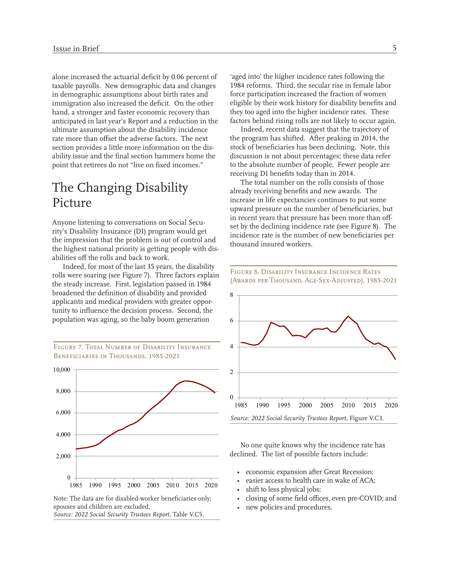alone increased the actuarial deficit by 0.06 percent of taxable payrolls. New demographic data and changes in demographic assumptions about birth rates and immigration also increased the deficit. On the other hand, a stronger and faster economic recovery than anticipated in last year's Report and a reduction in the ultimate assumption about the disability incidence rate more than offset the adverse factors. The next section provides a little more information on the disability issue and the final section hammers home the point that retirees do not "live on fixed incomes."

### The Changing Disability Picture

Anyone listening to conversations on Social Security's Disability Insurance (DI) program would get the impression that the problem is out of control and the highest national priority is getting people with disabilities off the rolls and back to work.

Indeed, for most of the last 35 years, the disability rolls were soaring (see Figure 7). Three factors explain the steady increase. First, legislation passed in 1984 broadened the definition of disability and provided applicants and medical providers with greater opportunity to influence the decision process. Second, the population was aging, so the baby boom generation



spouses and children are excluded. *Source: 2022 Social Security Trustees Report,* Table V.C5.

'aged into' the higher incidence rates following the 1984 reforms. Third, the secular rise in female labor force participation increased the fraction of women eligible by their work history for disability benefits and they too aged into the higher incidence rates. These factors behind rising rolls are not likely to occur again.

Indeed, recent data suggest that the trajectory of the program has shifted. After peaking in 2014, the stock of beneficiaries has been declining. Note, this discussion is not about percentages; these data refer to the absolute number of people. Fewer people are receiving DI benefits today than in 2014.

The total number on the rolls consists of those already receiving benefits and new awards. The increase in life expectancies continues to put some upward pressure on the number of beneficiaries, but in recent years that pressure has been more than offset by the declining incidence rate (see Figure 8). The incidence rate is the number of new beneficiaries per thousand insured workers.

Figure 8. Disability Insurance Incidence Rates



No one quite knows why the incidence rate has declined. The list of possible factors include:

- economic expansion after Great Recession;
- easier access to health care in wake of ACA;
- shift to less physical jobs;
- closing of some field offices, even pre-COVID; and
- new policies and procedures.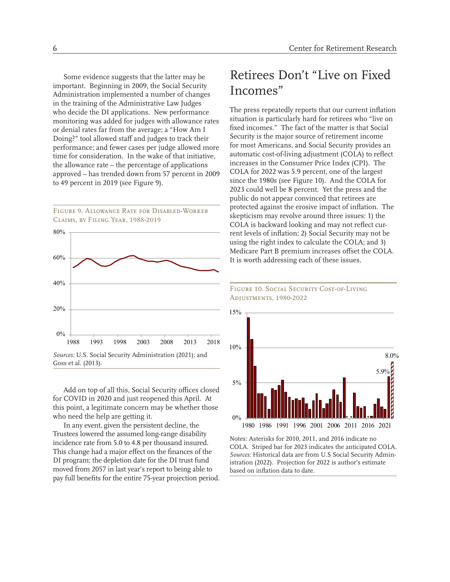Some evidence suggests that the latter may be important. Beginning in 2009, the Social Security Administration implemented a number of changes in the training of the Administrative Law Judges who decide the DI applications. New performance monitoring was added for judges with allowance rates or denial rates far from the average; a "How Am I Doing?" tool allowed staff and judges to track their performance; and fewer cases per judge allowed more time for consideration. In the wake of that initiative, the allowance rate – the percentage of applications approved – has trended down from 57 percent in 2009 to 49 percent in 2019 (see Figure 9).

Figure 9. Allowance Rate for Disabled-Worker Claims, by Filing Year, 1988-2019



Add on top of all this, Social Security offices closed for COVID in 2020 and just reopened this April. At this point, a legitimate concern may be whether those who need the help are getting it.

In any event, given the persistent decline, the Trustees lowered the assumed long-range disability incidence rate from 5.0 to 4.8 per thousand insured. This change had a major effect on the finances of the DI program; the depletion date for the DI trust fund moved from 2057 in last year's report to being able to pay full benefits for the entire 75-year projection period.

# Retirees Don't "Live on Fixed Incomes"

The press repeatedly reports that our current inflation situation is particularly hard for retirees who "live on fixed incomes." The fact of the matter is that Social Security is the major source of retirement income for most Americans, and Social Security provides an automatic cost-of-living adjustment (COLA) to reflect increases in the Consumer Price Index (CPI). The COLA for 2022 was 5.9 percent, one of the largest since the 1980s (see Figure 10). And the COLA for 2023 could well be 8 percent. Yet the press and the public do not appear convinced that retirees are protected against the erosive impact of inflation. The skepticism may revolve around three issues: 1) the COLA is backward looking and may not reflect current levels of inflation; 2) Social Security may not be using the right index to calculate the COLA; and 3) Medicare Part B premium increases offset the COLA. It is worth addressing each of these issues.

#### FIGURE 10. SOCIAL SECURITY COST-OF-LIVING Adjustments, 1980-2022



Notes: Asterisks for 2010, 2011, and 2016 indicate no COLA. Striped bar for 2023 indicates the anticipated COLA. *Sources:* Historical data are from U.S Social Security Administration (2022). Projection for 2022 is author's estimate based on inflation data to date.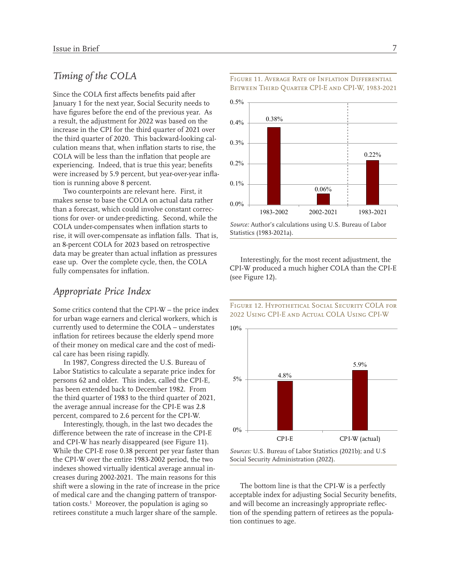#### *Timing of the COLA*

Since the COLA first affects benefits paid after January 1 for the next year, Social Security needs to have figures before the end of the previous year. As a result, the adjustment for 2022 was based on the increase in the CPI for the third quarter of 2021 over the third quarter of 2020. This backward-looking calculation means that, when inflation starts to rise, the COLA will be less than the inflation that people are experiencing. Indeed, that is true this year; benefits were increased by 5.9 percent, but year-over-year inflation is running above 8 percent.

Two counterpoints are relevant here. First, it makes sense to base the COLA on actual data rather than a forecast, which could involve constant corrections for over- or under-predicting. Second, while the COLA under-compensates when inflation starts to rise, it will over-compensate as inflation falls. That is, an 8-percent COLA for 2023 based on retrospective data may be greater than actual inflation as pressures ease up. Over the complete cycle, then, the COLA fully compensates for inflation.

#### *Appropriate Price Index*

Some critics contend that the CPI-W – the price index for urban wage earners and clerical workers, which is currently used to determine the COLA – understates inflation for retirees because the elderly spend more of their money on medical care and the cost of medical care has been rising rapidly.

In 1987, Congress directed the U.S. Bureau of Labor Statistics to calculate a separate price index for persons 62 and older. This index, called the CPI-E, has been extended back to December 1982. From the third quarter of 1983 to the third quarter of 2021, the average annual increase for the CPI-E was 2.8 percent, compared to 2.6 percent for the CPI-W.

Interestingly, though, in the last two decades the difference between the rate of increase in the CPI-E and CPI-W has nearly disappeared (see Figure 11). While the CPI-E rose 0.38 percent per year faster than the CPI-W over the entire 1983-2002 period, the two indexes showed virtually identical average annual increases during 2002-2021. The main reasons for this shift were a slowing in the rate of increase in the price of medical care and the changing pattern of transportation costs.1 Moreover, the population is aging so retirees constitute a much larger share of the sample.

Figure 11. Average Rate of Inflation Differential BETWEEN THIRD QUARTER CPI-E AND CPI-W, 1983-2021



Interestingly, for the most recent adjustment, the CPI-W produced a much higher COLA than the CPI-E (see Figure 12).





*Sources:* U.S. Bureau of Labor Statistics (2021b); and U.S Social Security Administration (2022).

The bottom line is that the CPI-W is a perfectly acceptable index for adjusting Social Security benefits, and will become an increasingly appropriate reflection of the spending pattern of retirees as the population continues to age.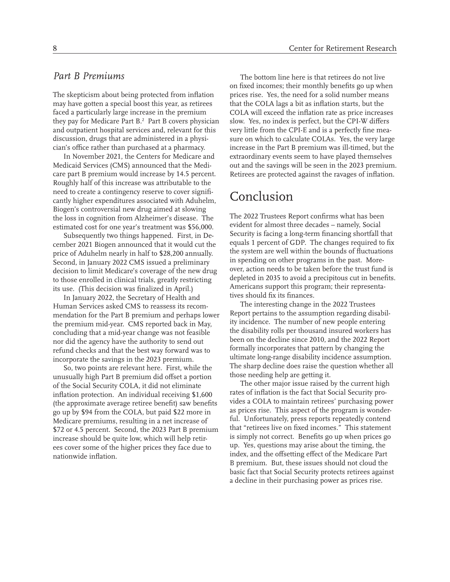#### *Part B Premiums*

The skepticism about being protected from inflation may have gotten a special boost this year, as retirees faced a particularly large increase in the premium they pay for Medicare Part B.2 Part B covers physician and outpatient hospital services and, relevant for this discussion, drugs that are administered in a physician's office rather than purchased at a pharmacy.

In November 2021, the Centers for Medicare and Medicaid Services (CMS) announced that the Medicare part B premium would increase by 14.5 percent. Roughly half of this increase was attributable to the need to create a contingency reserve to cover significantly higher expenditures associated with Aduhelm, Biogen's controversial new drug aimed at slowing the loss in cognition from Alzheimer's disease. The estimated cost for one year's treatment was \$56,000.

Subsequently two things happened. First, in December 2021 Biogen announced that it would cut the price of Aduhelm nearly in half to \$28,200 annually. Second, in January 2022 CMS issued a preliminary decision to limit Medicare's coverage of the new drug to those enrolled in clinical trials, greatly restricting its use. (This decision was finalized in April.)

In January 2022, the Secretary of Health and Human Services asked CMS to reassess its recommendation for the Part B premium and perhaps lower the premium mid-year. CMS reported back in May, concluding that a mid-year change was not feasible nor did the agency have the authority to send out refund checks and that the best way forward was to incorporate the savings in the 2023 premium.

So, two points are relevant here. First, while the unusually high Part B premium did offset a portion of the Social Security COLA, it did not eliminate inflation protection. An individual receiving \$1,600 (the approximate average retiree benefit) saw benefits go up by \$94 from the COLA, but paid \$22 more in Medicare premiums, resulting in a net increase of \$72 or 4.5 percent. Second, the 2023 Part B premium increase should be quite low, which will help retirees cover some of the higher prices they face due to nationwide inflation.

The bottom line here is that retirees do not live on fixed incomes; their monthly benefits go up when prices rise. Yes, the need for a solid number means that the COLA lags a bit as inflation starts, but the COLA will exceed the inflation rate as price increases slow. Yes, no index is perfect, but the CPI-W differs very little from the CPI-E and is a perfectly fine measure on which to calculate COLAs. Yes, the very large increase in the Part B premium was ill-timed, but the extraordinary events seem to have played themselves out and the savings will be seen in the 2023 premium. Retirees are protected against the ravages of inflation.

### Conclusion

The 2022 Trustees Report confirms what has been evident for almost three decades – namely, Social Security is facing a long-term financing shortfall that equals 1 percent of GDP. The changes required to fix the system are well within the bounds of fluctuations in spending on other programs in the past. Moreover, action needs to be taken before the trust fund is depleted in 2035 to avoid a precipitous cut in benefits. Americans support this program; their representatives should fix its finances.

The interesting change in the 2022 Trustees Report pertains to the assumption regarding disability incidence. The number of new people entering the disability rolls per thousand insured workers has been on the decline since 2010, and the 2022 Report formally incorporates that pattern by changing the ultimate long-range disability incidence assumption. The sharp decline does raise the question whether all those needing help are getting it.

The other major issue raised by the current high rates of inflation is the fact that Social Security provides a COLA to maintain retirees' purchasing power as prices rise. This aspect of the program is wonderful. Unfortunately, press reports repeatedly contend that "retirees live on fixed incomes." This statement is simply not correct. Benefits go up when prices go up. Yes, questions may arise about the timing, the index, and the offsetting effect of the Medicare Part B premium. But, these issues should not cloud the basic fact that Social Security protects retirees against a decline in their purchasing power as prices rise.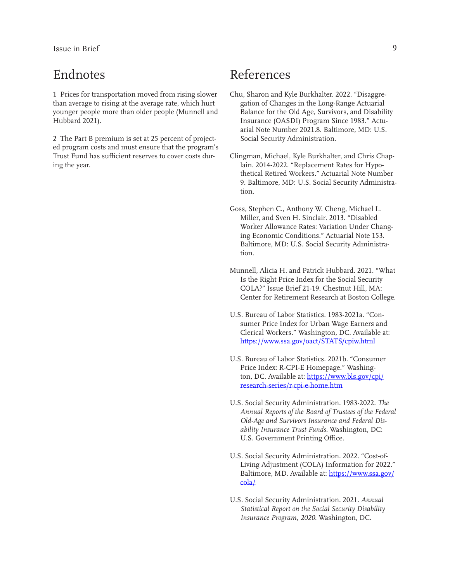### Endnotes

1 Prices for transportation moved from rising slower than average to rising at the average rate, which hurt younger people more than older people (Munnell and Hubbard 2021).

2 The Part B premium is set at 25 percent of projected program costs and must ensure that the program's Trust Fund has sufficient reserves to cover costs during the year.

# References

- Chu, Sharon and Kyle Burkhalter. 2022. "Disaggregation of Changes in the Long-Range Actuarial Balance for the Old Age, Survivors, and Disability Insurance (OASDI) Program Since 1983." Actuarial Note Number 2021.8. Baltimore, MD: U.S. Social Security Administration.
- Clingman, Michael, Kyle Burkhalter, and Chris Chaplain. 2014-2022. "Replacement Rates for Hypothetical Retired Workers." Actuarial Note Number 9. Baltimore, MD: U.S. Social Security Administration.
- Goss, Stephen C., Anthony W. Cheng, Michael L. Miller, and Sven H. Sinclair. 2013. "Disabled Worker Allowance Rates: Variation Under Changing Economic Conditions." Actuarial Note 153. Baltimore, MD: U.S. Social Security Administration.
- Munnell, Alicia H. and Patrick Hubbard. 2021. "What Is the Right Price Index for the Social Security COLA?" Issue Brief 21-19. Chestnut Hill, MA: Center for Retirement Research at Boston College.
- U.S. Bureau of Labor Statistics. 1983-2021a. "Consumer Price Index for Urban Wage Earners and Clerical Workers." Washington, DC. Available at: <https://www.ssa.gov/oact/STATS/cpiw.html>
- U.S. Bureau of Labor Statistics. 2021b. "Consumer Price Index: R-CPI-E Homepage." Washington, DC. Available at: [https://www.bls.gov/cpi/](https://www.bls.gov/cpi/research-series/r-cpi-e-home.htm) [research-series/r-cpi-e-home.htm](https://www.bls.gov/cpi/research-series/r-cpi-e-home.htm)
- U.S. Social Security Administration. 1983-2022. *The Annual Reports of the Board of Trustees of the Federal Old-Age and Survivors Insurance and Federal Disability Insurance Trust Funds.* Washington, DC: U.S. Government Printing Office.
- U.S. Social Security Administration. 2022. "Cost-of-Living Adjustment (COLA) Information for 2022." Baltimore, MD. Available at: [https://www.ssa.gov/](https://www.ssa.gov/cola/) [cola/](https://www.ssa.gov/cola/)
- U.S. Social Security Administration. 2021. *Annual Statistical Report on the Social Security Disability Insurance Program, 2020.* Washington, DC.